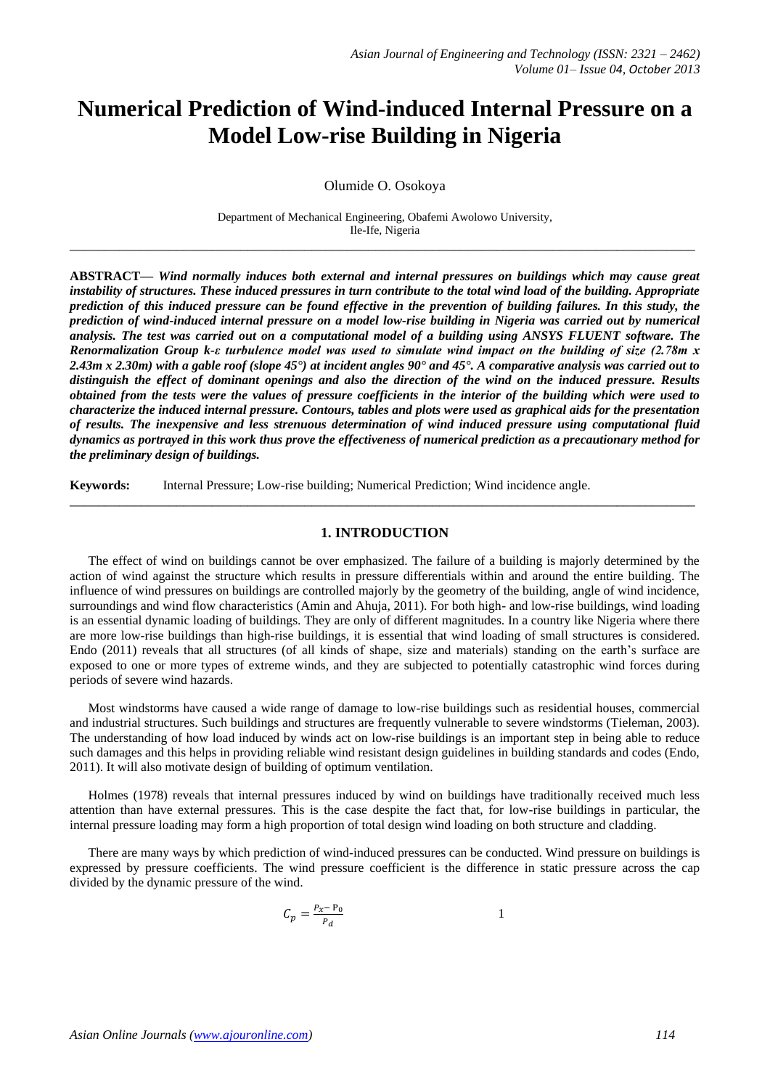# **Numerical Prediction of Wind-induced Internal Pressure on a Model Low-rise Building in Nigeria**

Olumide O. Osokoya

Department of Mechanical Engineering, Obafemi Awolowo University, Ile-Ife, Nigeria **\_\_\_\_\_\_\_\_\_\_\_\_\_\_\_\_\_\_\_\_\_\_\_\_\_\_\_\_\_\_\_\_\_\_\_\_\_\_\_\_\_\_\_\_\_\_\_\_\_\_\_\_\_\_\_\_\_\_\_\_\_\_\_\_\_\_\_\_\_\_\_\_\_\_\_\_\_\_\_\_\_\_\_\_\_\_\_\_**

**ABSTRACT—** *Wind normally induces both external and internal pressures on buildings which may cause great instability of structures. These induced pressures in turn contribute to the total wind load of the building. Appropriate prediction of this induced pressure can be found effective in the prevention of building failures. In this study, the prediction of wind-induced internal pressure on a model low-rise building in Nigeria was carried out by numerical analysis. The test was carried out on a computational model of a building using ANSYS FLUENT software. The Renormalization Group k-ε turbulence model was used to simulate wind impact on the building of size (2.78m x 2.43m x 2.30m) with a gable roof (slope 45°) at incident angles 90° and 45°. A comparative analysis was carried out to distinguish the effect of dominant openings and also the direction of the wind on the induced pressure. Results obtained from the tests were the values of pressure coefficients in the interior of the building which were used to characterize the induced internal pressure. Contours, tables and plots were used as graphical aids for the presentation of results. The inexpensive and less strenuous determination of wind induced pressure using computational fluid dynamics as portrayed in this work thus prove the effectiveness of numerical prediction as a precautionary method for the preliminary design of buildings.*

**Keywords:** Internal Pressure; Low-rise building; Numerical Prediction; Wind incidence angle.

### **1. INTRODUCTION**

**\_\_\_\_\_\_\_\_\_\_\_\_\_\_\_\_\_\_\_\_\_\_\_\_\_\_\_\_\_\_\_\_\_\_\_\_\_\_\_\_\_\_\_\_\_\_\_\_\_\_\_\_\_\_\_\_\_\_\_\_\_\_\_\_\_\_\_\_\_\_\_\_\_\_\_\_\_\_\_\_\_\_\_\_\_\_\_\_**

The effect of wind on buildings cannot be over emphasized. The failure of a building is majorly determined by the action of wind against the structure which results in pressure differentials within and around the entire building. The influence of wind pressures on buildings are controlled majorly by the geometry of the building, angle of wind incidence, surroundings and wind flow characteristics (Amin and Ahuja, 2011). For both high- and low-rise buildings, wind loading is an essential dynamic loading of buildings. They are only of different magnitudes. In a country like Nigeria where there are more low-rise buildings than high-rise buildings, it is essential that wind loading of small structures is considered. Endo (2011) reveals that all structures (of all kinds of shape, size and materials) standing on the earth's surface are exposed to one or more types of extreme winds, and they are subjected to potentially catastrophic wind forces during periods of severe wind hazards.

Most windstorms have caused a wide range of damage to low-rise buildings such as residential houses, commercial and industrial structures. Such buildings and structures are frequently vulnerable to severe windstorms (Tieleman, 2003). The understanding of how load induced by winds act on low-rise buildings is an important step in being able to reduce such damages and this helps in providing reliable wind resistant design guidelines in building standards and codes (Endo, 2011). It will also motivate design of building of optimum ventilation.

Holmes (1978) reveals that internal pressures induced by wind on buildings have traditionally received much less attention than have external pressures. This is the case despite the fact that, for low-rise buildings in particular, the internal pressure loading may form a high proportion of total design wind loading on both structure and cladding.

There are many ways by which prediction of wind-induced pressures can be conducted. Wind pressure on buildings is expressed by pressure coefficients. The wind pressure coefficient is the difference in static pressure across the cap divided by the dynamic pressure of the wind.

$$
C_p = \frac{P_x - P_0}{P_d} \tag{1}
$$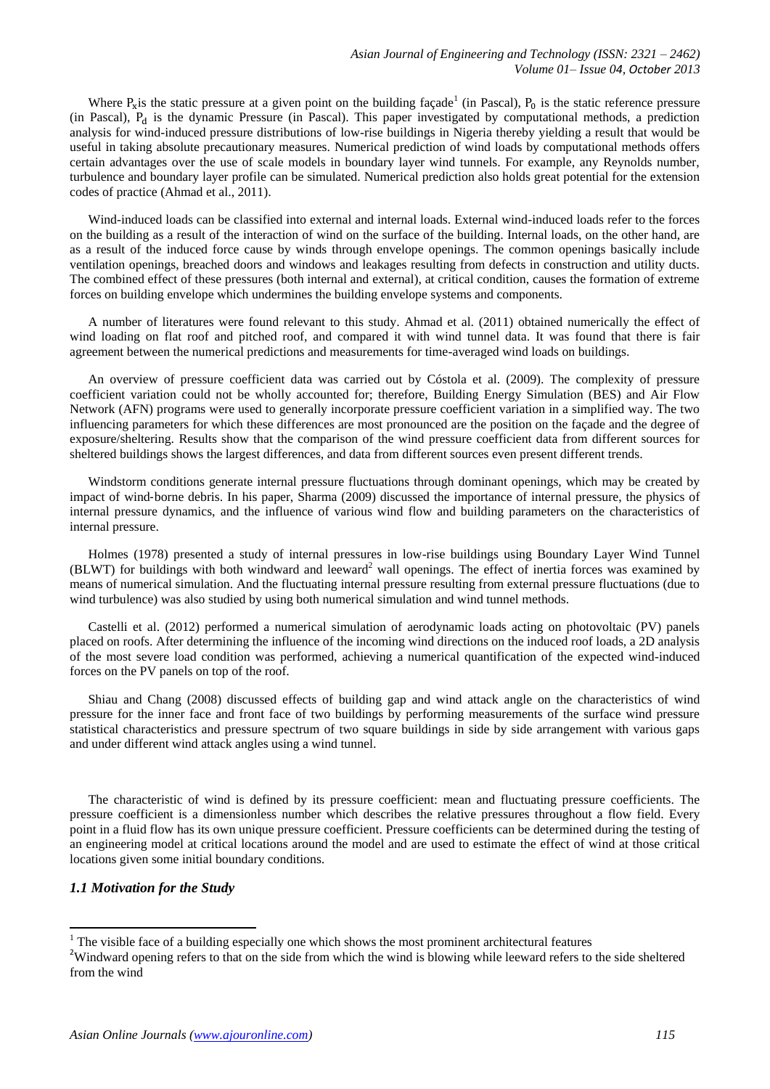Where  $P_x$  is the static pressure at a given point on the building façade<sup>1</sup> (in Pascal),  $P_0$  is the static reference pressure (in Pascal),  $P_d$  is the dynamic Pressure (in Pascal). This paper investigated by computational methods, a prediction analysis for wind-induced pressure distributions of low-rise buildings in Nigeria thereby yielding a result that would be useful in taking absolute precautionary measures. Numerical prediction of wind loads by computational methods offers certain advantages over the use of scale models in boundary layer wind tunnels. For example, any Reynolds number, turbulence and boundary layer profile can be simulated. Numerical prediction also holds great potential for the extension codes of practice (Ahmad et al., 2011).

Wind-induced loads can be classified into external and internal loads. External wind-induced loads refer to the forces on the building as a result of the interaction of wind on the surface of the building. Internal loads, on the other hand, are as a result of the induced force cause by winds through envelope openings. The common openings basically include ventilation openings, breached doors and windows and leakages resulting from defects in construction and utility ducts. The combined effect of these pressures (both internal and external), at critical condition, causes the formation of extreme forces on building envelope which undermines the building envelope systems and components.

A number of literatures were found relevant to this study. Ahmad et al. (2011) obtained numerically the effect of wind loading on flat roof and pitched roof, and compared it with wind tunnel data. It was found that there is fair agreement between the numerical predictions and measurements for time-averaged wind loads on buildings.

An overview of pressure coefficient data was carried out by Cóstola et al. (2009). The complexity of pressure coefficient variation could not be wholly accounted for; therefore, Building Energy Simulation (BES) and Air Flow Network (AFN) programs were used to generally incorporate pressure coefficient variation in a simplified way. The two influencing parameters for which these differences are most pronounced are the position on the façade and the degree of exposure/sheltering. Results show that the comparison of the wind pressure coefficient data from different sources for sheltered buildings shows the largest differences, and data from different sources even present different trends.

Windstorm conditions generate internal pressure fluctuations through dominant openings, which may be created by impact of wind-borne debris. In his paper, Sharma (2009) discussed the importance of internal pressure, the physics of internal pressure dynamics, and the influence of various wind flow and building parameters on the characteristics of internal pressure.

Holmes (1978) presented a study of internal pressures in low-rise buildings using Boundary Layer Wind Tunnel  $(BLWT)$  for buildings with both windward and leeward<sup>2</sup> wall openings. The effect of inertia forces was examined by means of numerical simulation. And the fluctuating internal pressure resulting from external pressure fluctuations (due to wind turbulence) was also studied by using both numerical simulation and wind tunnel methods.

Castelli et al. (2012) performed a numerical simulation of aerodynamic loads acting on photovoltaic (PV) panels placed on roofs. After determining the influence of the incoming wind directions on the induced roof loads, a 2D analysis of the most severe load condition was performed, achieving a numerical quantification of the expected wind-induced forces on the PV panels on top of the roof.

Shiau and Chang (2008) discussed effects of building gap and wind attack angle on the characteristics of wind pressure for the inner face and front face of two buildings by performing measurements of the surface wind pressure statistical characteristics and pressure spectrum of two square buildings in side by side arrangement with various gaps and under different wind attack angles using a wind tunnel.

The characteristic of wind is defined by its pressure coefficient: mean and fluctuating pressure coefficients. The pressure coefficient is a dimensionless number which describes the relative pressures throughout a flow field. Every point in a fluid flow has its own unique pressure coefficient. Pressure coefficients can be determined during the testing of an engineering model at critical locations around the model and are used to estimate the effect of wind at those critical locations given some initial boundary conditions.

### *1.1 Motivation for the Study*

1

 $1$  The visible face of a building especially one which shows the most prominent architectural features

<sup>&</sup>lt;sup>2</sup>Windward opening refers to that on the side from which the wind is blowing while leeward refers to the side sheltered from the wind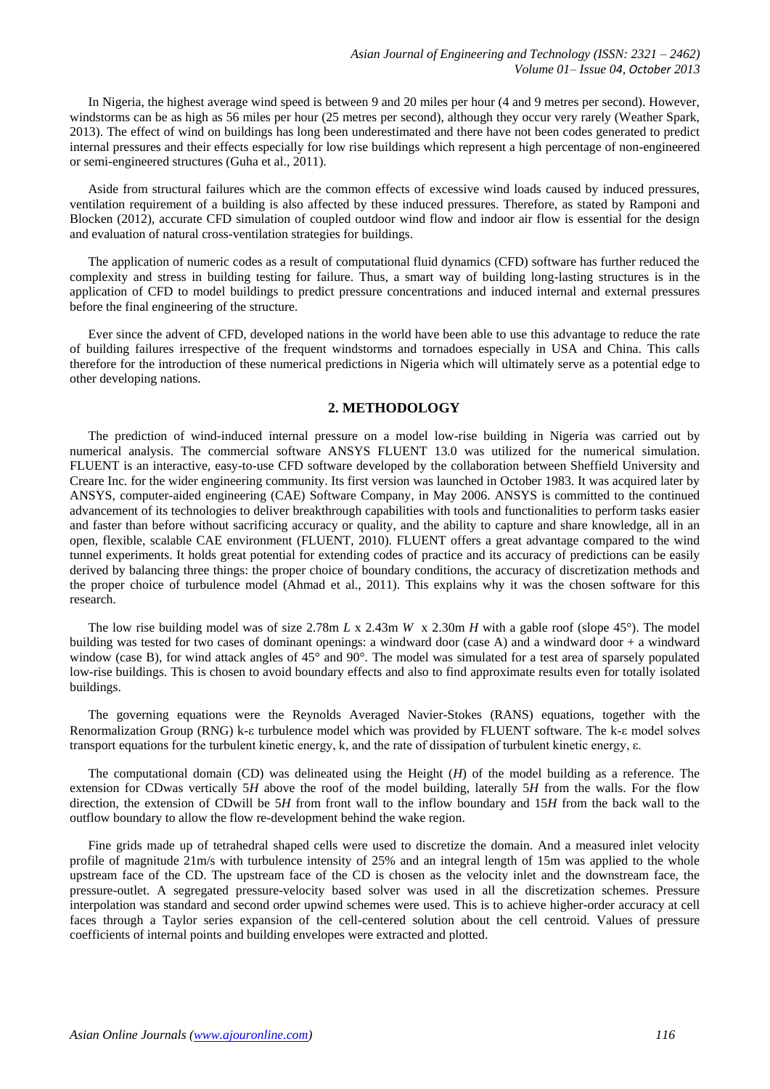In Nigeria, the highest average wind speed is between 9 and 20 miles per hour (4 and 9 metres per second). However, windstorms can be as high as 56 miles per hour (25 metres per second), although they occur very rarely (Weather Spark, 2013). The effect of wind on buildings has long been underestimated and there have not been codes generated to predict internal pressures and their effects especially for low rise buildings which represent a high percentage of non-engineered or semi-engineered structures (Guha et al., 2011).

Aside from structural failures which are the common effects of excessive wind loads caused by induced pressures, ventilation requirement of a building is also affected by these induced pressures. Therefore, as stated by Ramponi and Blocken (2012), accurate CFD simulation of coupled outdoor wind flow and indoor air flow is essential for the design and evaluation of natural cross-ventilation strategies for buildings.

The application of numeric codes as a result of computational fluid dynamics (CFD) software has further reduced the complexity and stress in building testing for failure. Thus, a smart way of building long-lasting structures is in the application of CFD to model buildings to predict pressure concentrations and induced internal and external pressures before the final engineering of the structure.

Ever since the advent of CFD, developed nations in the world have been able to use this advantage to reduce the rate of building failures irrespective of the frequent windstorms and tornadoes especially in USA and China. This calls therefore for the introduction of these numerical predictions in Nigeria which will ultimately serve as a potential edge to other developing nations.

# **2. METHODOLOGY**

The prediction of wind-induced internal pressure on a model low-rise building in Nigeria was carried out by numerical analysis. The commercial software ANSYS FLUENT 13.0 was utilized for the numerical simulation. FLUENT is an interactive, easy-to-use CFD software developed by the collaboration between Sheffield University and Creare Inc. for the wider engineering community. Its first version was launched in October 1983. It was acquired later by ANSYS, computer-aided engineering (CAE) Software Company, in May 2006. ANSYS is committed to the continued advancement of its technologies to deliver breakthrough capabilities with tools and functionalities to perform tasks easier and faster than before without sacrificing accuracy or quality, and the ability to capture and share knowledge, all in an open, flexible, scalable CAE environment (FLUENT, 2010). FLUENT offers a great advantage compared to the wind tunnel experiments. It holds great potential for extending codes of practice and its accuracy of predictions can be easily derived by balancing three things: the proper choice of boundary conditions, the accuracy of discretization methods and the proper choice of turbulence model (Ahmad et al., 2011). This explains why it was the chosen software for this research.

The low rise building model was of size 2.78m *L* x 2.43m *W* x 2.30m *H* with a gable roof (slope 45°). The model building was tested for two cases of dominant openings: a windward door (case A) and a windward door + a windward window (case B), for wind attack angles of 45° and 90°. The model was simulated for a test area of sparsely populated low-rise buildings. This is chosen to avoid boundary effects and also to find approximate results even for totally isolated buildings.

The governing equations were the Reynolds Averaged Navier-Stokes (RANS) equations, together with the Renormalization Group (RNG) k-ε turbulence model which was provided by FLUENT software. The k-ε model solves transport equations for the turbulent kinetic energy, k, and the rate of dissipation of turbulent kinetic energy, ε.

The computational domain (CD) was delineated using the Height (*H*) of the model building as a reference. The extension for CDwas vertically 5*H* above the roof of the model building, laterally 5*H* from the walls. For the flow direction, the extension of CDwill be 5*H* from front wall to the inflow boundary and 15*H* from the back wall to the outflow boundary to allow the flow re-development behind the wake region.

Fine grids made up of tetrahedral shaped cells were used to discretize the domain. And a measured inlet velocity profile of magnitude 21m/s with turbulence intensity of 25% and an integral length of 15m was applied to the whole upstream face of the CD. The upstream face of the CD is chosen as the velocity inlet and the downstream face, the pressure-outlet. A segregated pressure-velocity based solver was used in all the discretization schemes. Pressure interpolation was standard and second order upwind schemes were used. This is to achieve higher-order accuracy at cell faces through a Taylor series expansion of the cell-centered solution about the cell centroid. Values of pressure coefficients of internal points and building envelopes were extracted and plotted.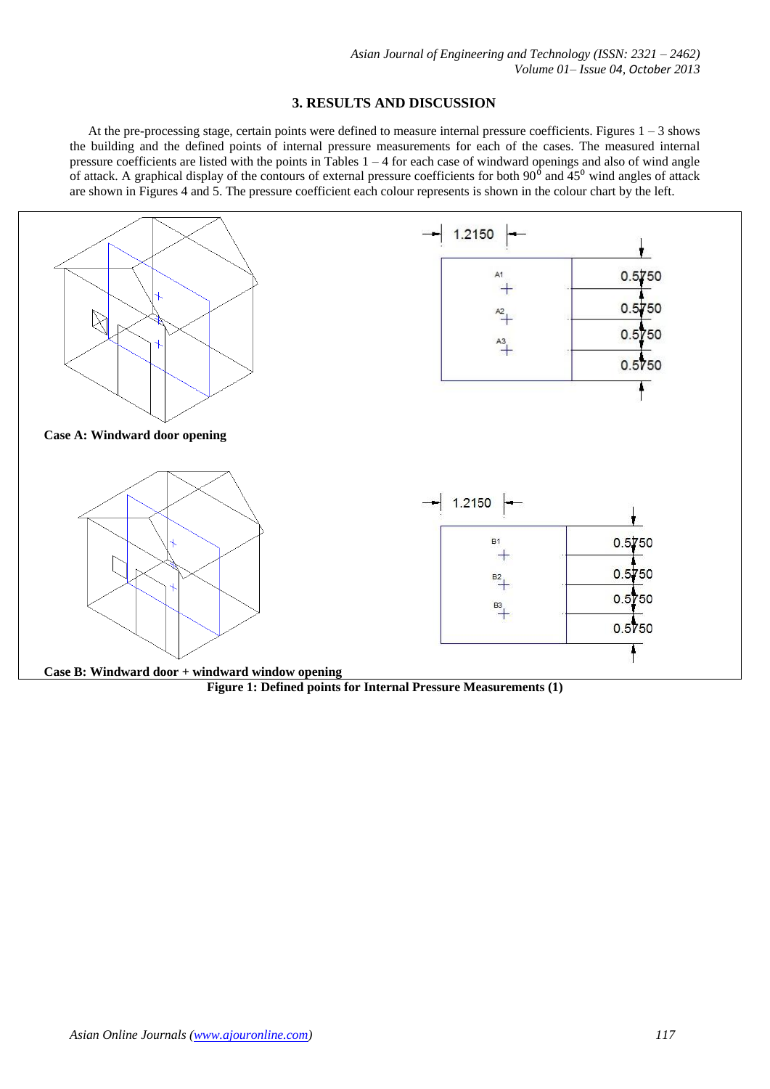## **3. RESULTS AND DISCUSSION**

At the pre-processing stage, certain points were defined to measure internal pressure coefficients. Figures  $1 - 3$  shows the building and the defined points of internal pressure measurements for each of the cases. The measured internal pressure coefficients are listed with the points in Tables 1 – 4 for each case of windward openings and also of wind angle of attack. A graphical display of the contours of external pressure coefficients for both  $90^{\circ}$  and  $45^{\circ}$  wind angles of attack are shown in Figures 4 and 5. The pressure coefficient each colour represents is shown in the colour chart by the left.



**Figure 1: Defined points for Internal Pressure Measurements (1)**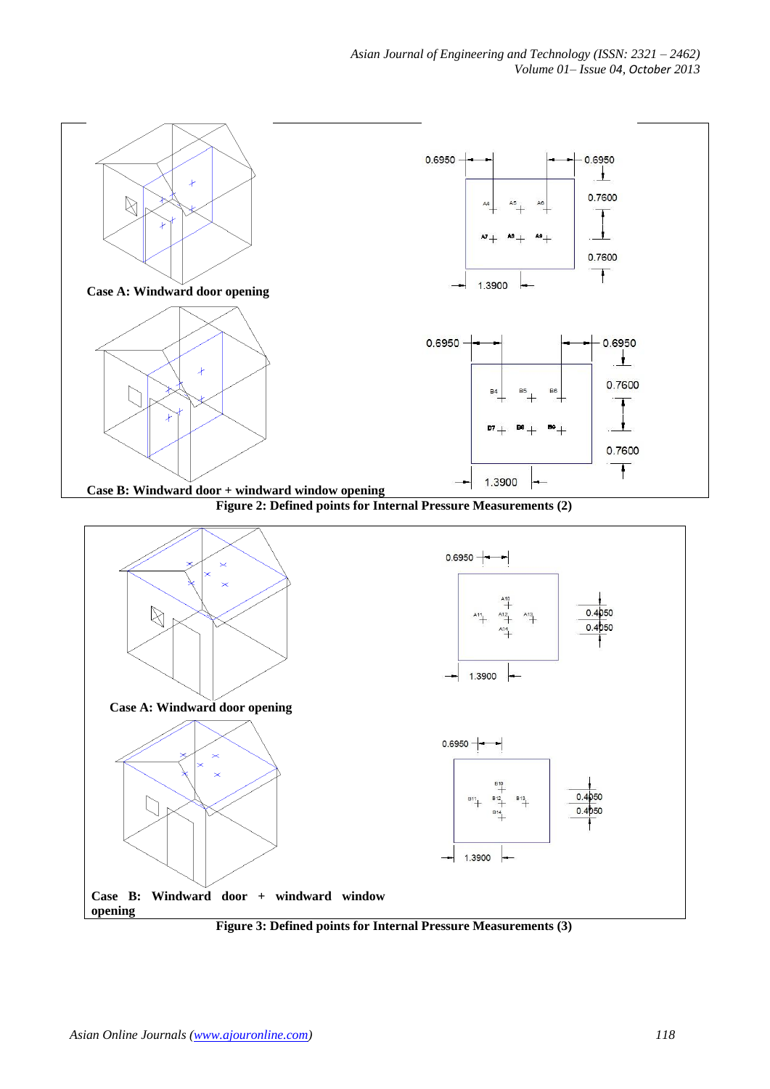

**Figure 3: Defined points for Internal Pressure Measurements (3)**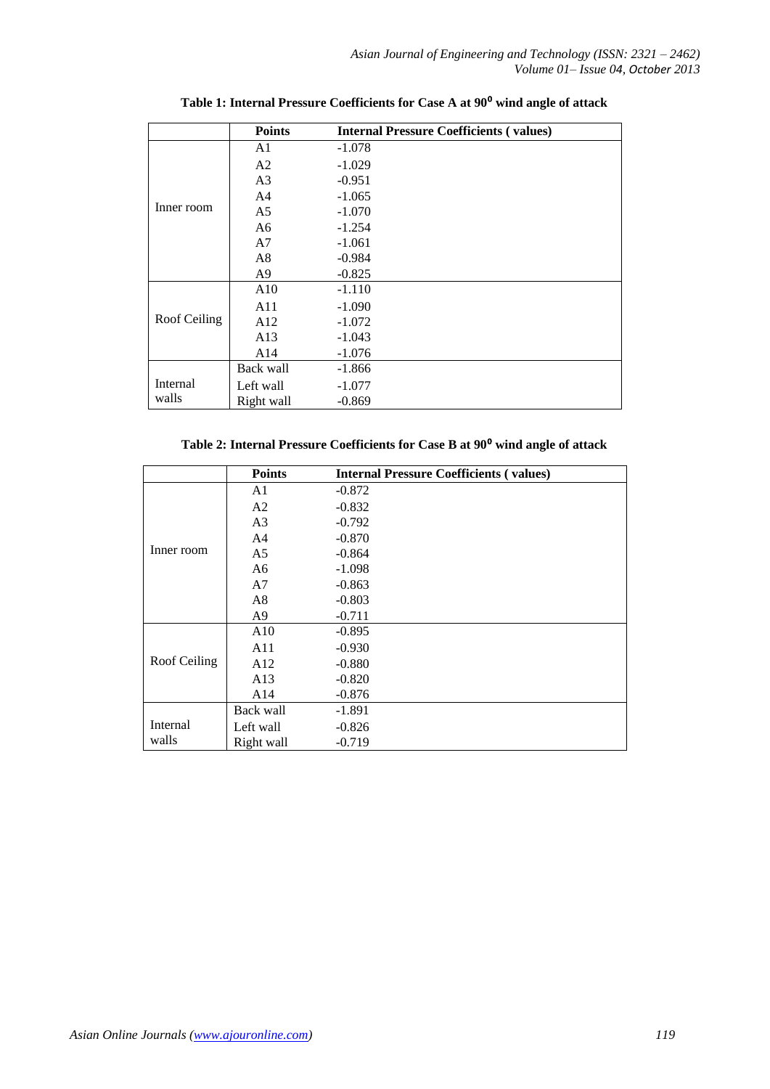|              | <b>Points</b>  | <b>Internal Pressure Coefficients (values)</b> |
|--------------|----------------|------------------------------------------------|
|              | A1             | $-1.078$                                       |
|              | A <sub>2</sub> | $-1.029$                                       |
|              | A <sub>3</sub> | $-0.951$                                       |
|              | A <sub>4</sub> | $-1.065$                                       |
| Inner room   | A <sub>5</sub> | $-1.070$                                       |
|              | A6             | $-1.254$                                       |
|              | A7             | $-1.061$                                       |
|              | A8             | $-0.984$                                       |
|              | A <sub>9</sub> | $-0.825$                                       |
|              | A10            | $-1.110$                                       |
|              | A11            | $-1.090$                                       |
| Roof Ceiling | A12            | $-1.072$                                       |
|              | A13            | $-1.043$                                       |
|              | A14            | $-1.076$                                       |
|              | Back wall      | $-1.866$                                       |
| Internal     | Left wall      | $-1.077$                                       |
| walls        | Right wall     | $-0.869$                                       |

**Table 1: Internal Pressure Coefficients for Case A at 90**⁰ **wind angle of attack**

|  |  |  |  | Table 2: Internal Pressure Coefficients for Case B at 90 <sup>0</sup> wind angle of attack |  |  |  |  |
|--|--|--|--|--------------------------------------------------------------------------------------------|--|--|--|--|
|--|--|--|--|--------------------------------------------------------------------------------------------|--|--|--|--|

|              | <b>Points</b>  | <b>Internal Pressure Coefficients (values)</b> |
|--------------|----------------|------------------------------------------------|
| Inner room   | A <sub>1</sub> | $-0.872$                                       |
|              | A2             | $-0.832$                                       |
|              | A <sub>3</sub> | $-0.792$                                       |
|              | A <sub>4</sub> | $-0.870$                                       |
|              | A <sub>5</sub> | $-0.864$                                       |
|              | A <sub>6</sub> | $-1.098$                                       |
|              | A7             | $-0.863$                                       |
|              | A <sub>8</sub> | $-0.803$                                       |
|              | A <sub>9</sub> | $-0.711$                                       |
|              | A10            | $-0.895$                                       |
|              | A11            | $-0.930$                                       |
| Roof Ceiling | A12            | $-0.880$                                       |
|              | A13            | $-0.820$                                       |
|              | A14            | $-0.876$                                       |
|              | Back wall      | $-1.891$                                       |
| Internal     | Left wall      | $-0.826$                                       |
| walls        | Right wall     | $-0.719$                                       |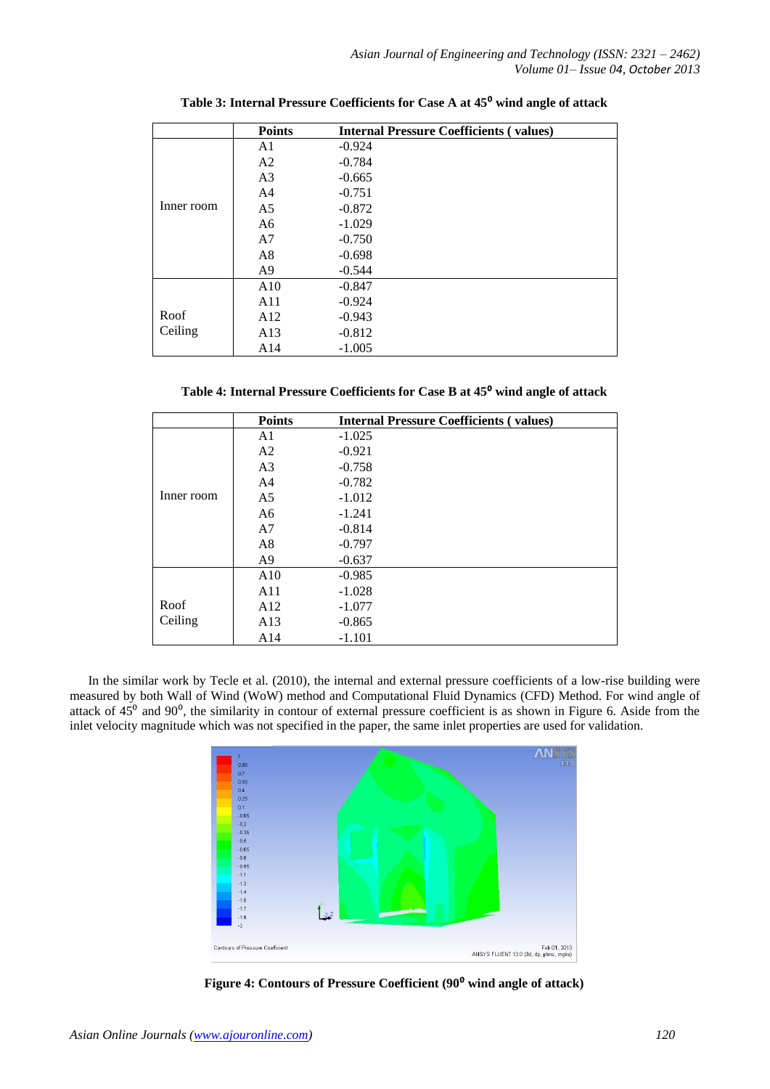|            | <b>Points</b>  | <b>Internal Pressure Coefficients (values)</b> |
|------------|----------------|------------------------------------------------|
|            | A <sub>1</sub> | $-0.924$                                       |
|            | A <sub>2</sub> | $-0.784$                                       |
|            | A <sub>3</sub> | $-0.665$                                       |
|            | A <sub>4</sub> | $-0.751$                                       |
| Inner room | A <sub>5</sub> | $-0.872$                                       |
|            | A6             | $-1.029$                                       |
|            | A7             | $-0.750$                                       |
|            | A8             | $-0.698$                                       |
|            | A <sub>9</sub> | $-0.544$                                       |
|            | A10            | $-0.847$                                       |
|            | A11            | $-0.924$                                       |
| Roof       | A12            | $-0.943$                                       |
| Ceiling    | A13            | $-0.812$                                       |
|            | A14            | $-1.005$                                       |

**Table 3: Internal Pressure Coefficients for Case A at 45**⁰ **wind angle of attack**

**Table 4: Internal Pressure Coefficients for Case B at 45**⁰ **wind angle of attack**

|            | <b>Points</b>  | <b>Internal Pressure Coefficients (values)</b> |
|------------|----------------|------------------------------------------------|
|            | A <sub>1</sub> | $-1.025$                                       |
|            | A <sub>2</sub> | $-0.921$                                       |
|            | A <sub>3</sub> | $-0.758$                                       |
|            | A <sub>4</sub> | $-0.782$                                       |
| Inner room | A <sub>5</sub> | $-1.012$                                       |
|            | A6             | $-1.241$                                       |
|            | A <sub>7</sub> | $-0.814$                                       |
|            | A8             | $-0.797$                                       |
|            | A <sub>9</sub> | $-0.637$                                       |
|            | A10            | $-0.985$                                       |
|            | A11            | $-1.028$                                       |
| Roof       | A12            | $-1.077$                                       |
| Ceiling    | A13            | $-0.865$                                       |
|            | A14            | $-1.101$                                       |

In the similar work by Tecle et al. (2010), the internal and external pressure coefficients of a low-rise building were measured by both Wall of Wind (WoW) method and Computational Fluid Dynamics (CFD) Method. For wind angle of attack of  $45^{\circ}$  and  $90^{\circ}$ , the similarity in contour of external pressure coefficient is as shown in Figure 6. Aside from the inlet velocity magnitude which was not specified in the paper, the same inlet properties are used for validation.



Figure 4: Contours of Pressure Coefficient (90<sup>°</sup> wind angle of attack)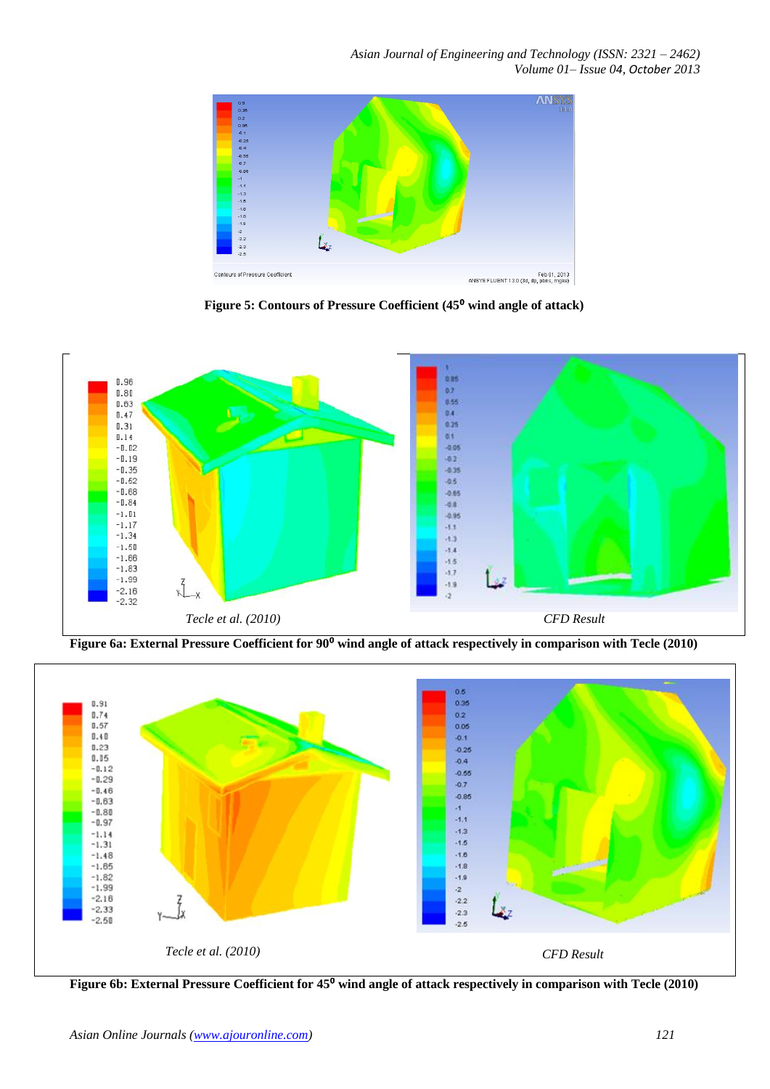

Figure 5: Contours of Pressure Coefficient (45<sup>0</sup> wind angle of attack)



Figure 6a: External Pressure Coefficient for 90<sup>°</sup> wind angle of attack respectively in comparison with Tecle (2010)



**Figure 6b: External Pressure Coefficient for 45<sup>°</sup> wind angle of attack respectively in comparison with Tecle (2010)**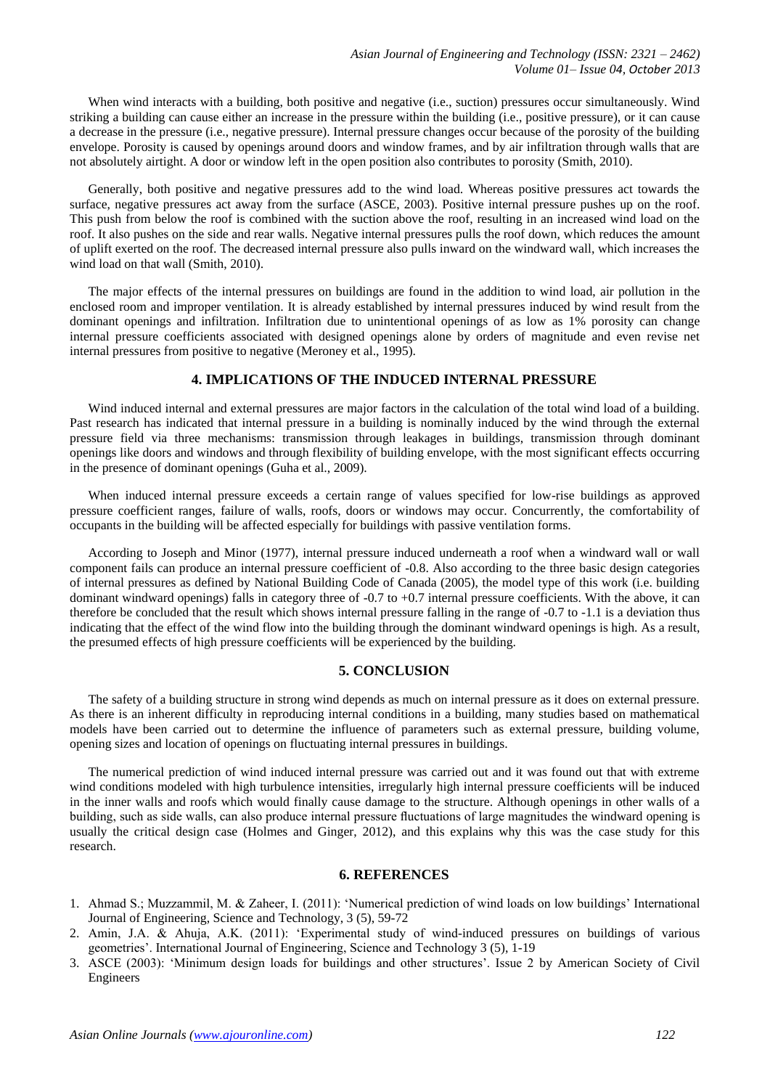When wind interacts with a building, both positive and negative (i.e., suction) pressures occur simultaneously. Wind striking a building can cause either an increase in the pressure within the building (i.e., positive pressure), or it can cause a decrease in the pressure (i.e., negative pressure). Internal pressure changes occur because of the porosity of the building envelope. Porosity is caused by openings around doors and window frames, and by air infiltration through walls that are not absolutely airtight. A door or window left in the open position also contributes to porosity (Smith, 2010).

Generally, both positive and negative pressures add to the wind load. Whereas positive pressures act towards the surface, negative pressures act away from the surface (ASCE, 2003). Positive internal pressure pushes up on the roof. This push from below the roof is combined with the suction above the roof, resulting in an increased wind load on the roof. It also pushes on the side and rear walls. Negative internal pressures pulls the roof down, which reduces the amount of uplift exerted on the roof. The decreased internal pressure also pulls inward on the windward wall, which increases the wind load on that wall (Smith, 2010).

The major effects of the internal pressures on buildings are found in the addition to wind load, air pollution in the enclosed room and improper ventilation. It is already established by internal pressures induced by wind result from the dominant openings and infiltration. Infiltration due to unintentional openings of as low as 1% porosity can change internal pressure coefficients associated with designed openings alone by orders of magnitude and even revise net internal pressures from positive to negative (Meroney et al., 1995).

# **4. IMPLICATIONS OF THE INDUCED INTERNAL PRESSURE**

Wind induced internal and external pressures are major factors in the calculation of the total wind load of a building. Past research has indicated that internal pressure in a building is nominally induced by the wind through the external pressure field via three mechanisms: transmission through leakages in buildings, transmission through dominant openings like doors and windows and through flexibility of building envelope, with the most significant effects occurring in the presence of dominant openings (Guha et al., 2009).

When induced internal pressure exceeds a certain range of values specified for low-rise buildings as approved pressure coefficient ranges, failure of walls, roofs, doors or windows may occur. Concurrently, the comfortability of occupants in the building will be affected especially for buildings with passive ventilation forms.

According to Joseph and Minor (1977), internal pressure induced underneath a roof when a windward wall or wall component fails can produce an internal pressure coefficient of -0.8. Also according to the three basic design categories of internal pressures as defined by National Building Code of Canada (2005), the model type of this work (i.e. building dominant windward openings) falls in category three of -0.7 to +0.7 internal pressure coefficients. With the above, it can therefore be concluded that the result which shows internal pressure falling in the range of -0.7 to -1.1 is a deviation thus indicating that the effect of the wind flow into the building through the dominant windward openings is high. As a result, the presumed effects of high pressure coefficients will be experienced by the building.

### **5. CONCLUSION**

The safety of a building structure in strong wind depends as much on internal pressure as it does on external pressure. As there is an inherent difficulty in reproducing internal conditions in a building, many studies based on mathematical models have been carried out to determine the influence of parameters such as external pressure, building volume, opening sizes and location of openings on fluctuating internal pressures in buildings.

The numerical prediction of wind induced internal pressure was carried out and it was found out that with extreme wind conditions modeled with high turbulence intensities, irregularly high internal pressure coefficients will be induced in the inner walls and roofs which would finally cause damage to the structure. Although openings in other walls of a building, such as side walls, can also produce internal pressure fluctuations of large magnitudes the windward opening is usually the critical design case (Holmes and Ginger, 2012), and this explains why this was the case study for this research.

#### **6. REFERENCES**

- 1. Ahmad S.; Muzzammil, M. & Zaheer, I. (2011): 'Numerical prediction of wind loads on low buildings' International Journal of Engineering, Science and Technology, 3 (5), 59-72
- 2. Amin, J.A. & Ahuja, A.K. (2011): 'Experimental study of wind-induced pressures on buildings of various geometries'. International Journal of Engineering, Science and Technology 3 (5), 1-19
- 3. ASCE (2003): 'Minimum design loads for buildings and other structures'. Issue 2 by American Society of Civil Engineers